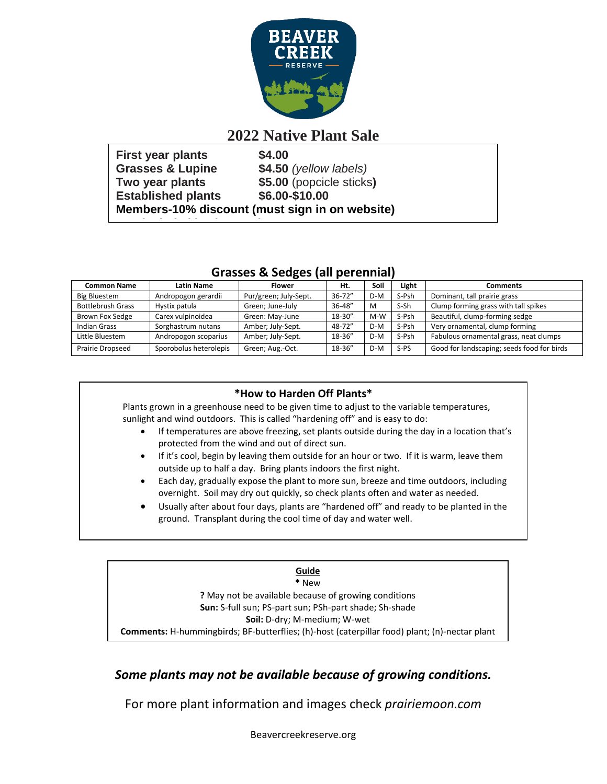

## **2022 Native Plant Sale**

| First year plants                              | \$4.00                   |  |  |  |  |  |
|------------------------------------------------|--------------------------|--|--|--|--|--|
| <b>Grasses &amp; Lupine</b>                    | $$4.50$ (yellow labels)  |  |  |  |  |  |
| Two year plants                                | \$5.00 (popcicle sticks) |  |  |  |  |  |
| <b>Established plants</b>                      | \$6.00-\$10.00           |  |  |  |  |  |
| Members-10% discount (must sign in on website) |                          |  |  |  |  |  |
|                                                |                          |  |  |  |  |  |

### **Grasses & Sedges (all perennial)**

| <b>Common Name</b>       | <b>Latin Name</b>      | <b>Flower</b>         | Ht.        | Soil  | Light  | <b>Comments</b>                            |
|--------------------------|------------------------|-----------------------|------------|-------|--------|--------------------------------------------|
| Big Bluestem             | Andropogon gerardii    | Pur/green; July-Sept. | $36 - 72"$ | D-M   | S-Psh  | Dominant, tall prairie grass               |
| <b>Bottlebrush Grass</b> | Hystix patula          | Green; June-July      | 36-48"     | M     | S-Sh   | Clump forming grass with tall spikes       |
| Brown Fox Sedge          | Carex vulpinoidea      | Green: May-June       | 18-30"     | $M-W$ | S-Psh  | Beautiful, clump-forming sedge             |
| Indian Grass             | Sorghastrum nutans     | Amber; July-Sept.     | 48-72"     | D-M   | S-Psh  | Very ornamental, clump forming             |
| Little Bluestem          | Andropogon scoparius   | Amber; July-Sept.     | 18-36"     | D-M   | S-Psh  | Fabulous ornamental grass, neat clumps     |
| Prairie Dropseed         | Sporobolus heterolepis | Green; Aug.-Oct.      | 18-36"     | D-M   | $S-PS$ | Good for landscaping; seeds food for birds |

#### **\*How to Harden Off Plants\***

Plants grown in a greenhouse need to be given time to adjust to the variable temperatures, sunlight and wind outdoors. This is called "hardening off" and is easy to do:

- If temperatures are above freezing, set plants outside during the day in a location that's protected from the wind and out of direct sun.
- If it's cool, begin by leaving them outside for an hour or two. If it is warm, leave them outside up to half a day. Bring plants indoors the first night.
- Each day, gradually expose the plant to more sun, breeze and time outdoors, including overnight. Soil may dry out quickly, so check plants often and water as needed.
- Usually after about four days, plants are "hardened off" and ready to be planted in the ground. Transplant during the cool time of day and water well.

#### **Guide \*** New **?** May not be available because of growing conditions **Sun:** S-full sun; PS-part sun; PSh-part shade; Sh-shade **Soil:** D-dry; M-medium; W-wet **Comments:** H-hummingbirds; BF-butterflies; (h)-host (caterpillar food) plant; (n)-nectar plant

## *Some plants may not be available because of growing conditions.*

For more plant information and images check *prairiemoon.com*